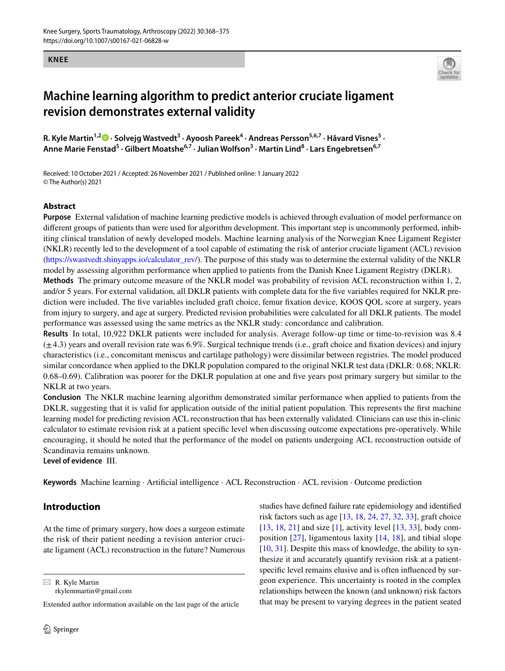#### **KNEE**



# **Machine learning algorithm to predict anterior cruciate ligament revision demonstrates external validity**

R.Kyle Martin<sup>1,2</sup><sup>0</sup> · Solvejg Wastvedt<sup>3</sup> · Ayoosh Pareek<sup>4</sup> · Andreas Persson<sup>5,6,7</sup> · Håvard Visnes<sup>5</sup> · **Anne Marie Fenstad<sup>5</sup> · Gilbert Moatshe6,7 · Julian Wolfson3 · Martin Lind8 · Lars Engebretsen6,7**

Received: 10 October 2021 / Accepted: 26 November 2021 / Published online: 1 January 2022 © The Author(s) 2021

#### **Abstract**

**Purpose** External validation of machine learning predictive models is achieved through evaluation of model performance on diferent groups of patients than were used for algorithm development. This important step is uncommonly performed, inhibiting clinical translation of newly developed models. Machine learning analysis of the Norwegian Knee Ligament Register (NKLR) recently led to the development of a tool capable of estimating the risk of anterior cruciate ligament (ACL) revision [\(https://swastvedt.shinyapps.io/calculator\\_rev/\)](https://swastvedt.shinyapps.io/calculator_rev/). The purpose of this study was to determine the external validity of the NKLR model by assessing algorithm performance when applied to patients from the Danish Knee Ligament Registry (DKLR).

**Methods** The primary outcome measure of the NKLR model was probability of revision ACL reconstruction within 1, 2, and/or 5 years. For external validation, all DKLR patients with complete data for the fve variables required for NKLR prediction were included. The five variables included graft choice, femur fixation device, KOOS QOL score at surgery, years from injury to surgery, and age at surgery. Predicted revision probabilities were calculated for all DKLR patients. The model performance was assessed using the same metrics as the NKLR study: concordance and calibration.

**Results** In total, 10,922 DKLR patients were included for analysis. Average follow-up time or time-to-revision was 8.4  $(\pm 4.3)$  years and overall revision rate was 6.9%. Surgical technique trends (i.e., graft choice and fixation devices) and injury characteristics (i.e., concomitant meniscus and cartilage pathology) were dissimilar between registries. The model produced similar concordance when applied to the DKLR population compared to the original NKLR test data (DKLR: 0.68; NKLR: 0.68–0.69). Calibration was poorer for the DKLR population at one and fve years post primary surgery but similar to the NKLR at two years.

**Conclusion** The NKLR machine learning algorithm demonstrated similar performance when applied to patients from the DKLR, suggesting that it is valid for application outside of the initial patient population. This represents the first machine learning model for predicting revision ACL reconstruction that has been externally validated. Clinicians can use this in-clinic calculator to estimate revision risk at a patient specifc level when discussing outcome expectations pre-operatively. While encouraging, it should be noted that the performance of the model on patients undergoing ACL reconstruction outside of Scandinavia remains unknown.

**Level of evidence** III.

**Keywords** Machine learning · Artifcial intelligence · ACL Reconstruction · ACL revision · Outcome prediction

## **Introduction**

At the time of primary surgery, how does a surgeon estimate the risk of their patient needing a revision anterior cruciate ligament (ACL) reconstruction in the future? Numerous

 $\boxtimes$  R. Kyle Martin

rkylemmartin@gmail.com

Extended author information available on the last page of the article

studies have defned failure rate epidemiology and identifed risk factors such as age [[13,](#page-6-0) [18,](#page-7-0) [24,](#page-7-1) [27,](#page-7-2) [32,](#page-7-3) [33](#page-7-4)], graft choice [[13,](#page-6-0) [18,](#page-7-0) [21](#page-7-5)] and size [[1](#page-6-1)], activity level [[13,](#page-6-0) [33](#page-7-4)], body composition [\[27\]](#page-7-2), ligamentous laxity [[14,](#page-6-2) [18](#page-7-0)], and tibial slope [[10,](#page-6-3) [31](#page-7-6)]. Despite this mass of knowledge, the ability to synthesize it and accurately quantify revision risk at a patientspecifc level remains elusive and is often infuenced by surgeon experience. This uncertainty is rooted in the complex relationships between the known (and unknown) risk factors that may be present to varying degrees in the patient seated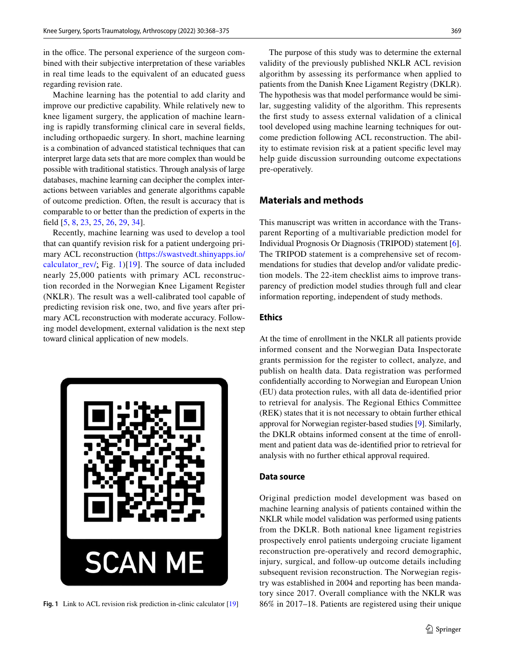in the office. The personal experience of the surgeon combined with their subjective interpretation of these variables in real time leads to the equivalent of an educated guess regarding revision rate.

Machine learning has the potential to add clarity and improve our predictive capability. While relatively new to knee ligament surgery, the application of machine learning is rapidly transforming clinical care in several felds, including orthopaedic surgery. In short, machine learning is a combination of advanced statistical techniques that can interpret large data sets that are more complex than would be possible with traditional statistics. Through analysis of large databases, machine learning can decipher the complex interactions between variables and generate algorithms capable of outcome prediction. Often, the result is accuracy that is comparable to or better than the prediction of experts in the feld [[5,](#page-6-4) [8,](#page-6-5) [23,](#page-7-7) [25](#page-7-8), [26](#page-7-9), [29](#page-7-10), [34](#page-7-11)].

Recently, machine learning was used to develop a tool that can quantify revision risk for a patient undergoing primary ACL reconstruction [\(https://swastvedt.shinyapps.io/](https://swastvedt.shinyapps.io/calculator_rev/) [calculator\\_rev/;](https://swastvedt.shinyapps.io/calculator_rev/) Fig. [1\)](#page-1-0)[[19](#page-7-12)]. The source of data included nearly 25,000 patients with primary ACL reconstruction recorded in the Norwegian Knee Ligament Register (NKLR). The result was a well-calibrated tool capable of predicting revision risk one, two, and fve years after primary ACL reconstruction with moderate accuracy. Following model development, external validation is the next step toward clinical application of new models.



The purpose of this study was to determine the external validity of the previously published NKLR ACL revision algorithm by assessing its performance when applied to patients from the Danish Knee Ligament Registry (DKLR). The hypothesis was that model performance would be similar, suggesting validity of the algorithm. This represents the frst study to assess external validation of a clinical tool developed using machine learning techniques for outcome prediction following ACL reconstruction. The ability to estimate revision risk at a patient specifc level may help guide discussion surrounding outcome expectations pre-operatively.

## **Materials and methods**

This manuscript was written in accordance with the Transparent Reporting of a multivariable prediction model for Individual Prognosis Or Diagnosis (TRIPOD) statement [\[6](#page-6-6)]. The TRIPOD statement is a comprehensive set of recommendations for studies that develop and/or validate prediction models. The 22-item checklist aims to improve transparency of prediction model studies through full and clear information reporting, independent of study methods.

#### **Ethics**

At the time of enrollment in the NKLR all patients provide informed consent and the Norwegian Data Inspectorate grants permission for the register to collect, analyze, and publish on health data. Data registration was performed confdentially according to Norwegian and European Union (EU) data protection rules, with all data de-identifed prior to retrieval for analysis. The Regional Ethics Committee (REK) states that it is not necessary to obtain further ethical approval for Norwegian register-based studies [[9\]](#page-6-7). Similarly, the DKLR obtains informed consent at the time of enrollment and patient data was de-identifed prior to retrieval for analysis with no further ethical approval required.

#### **Data source**

<span id="page-1-0"></span>Original prediction model development was based on machine learning analysis of patients contained within the NKLR while model validation was performed using patients from the DKLR. Both national knee ligament registries prospectively enrol patients undergoing cruciate ligament reconstruction pre-operatively and record demographic, injury, surgical, and follow-up outcome details including subsequent revision reconstruction. The Norwegian registry was established in 2004 and reporting has been mandatory since 2017. Overall compliance with the NKLR was **Fig. 1** Link to ACL revision risk prediction in-clinic calculator [\[19\]](#page-7-12) 86% in 2017–18. Patients are registered using their unique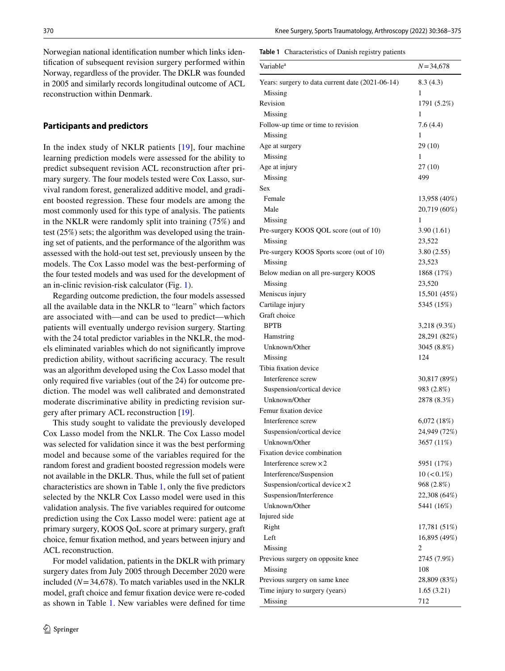Norwegian national identifcation number which links identifcation of subsequent revision surgery performed within Norway, regardless of the provider. The DKLR was founded in 2005 and similarly records longitudinal outcome of ACL reconstruction within Denmark.

### **Participants and predictors**

In the index study of NKLR patients [[19](#page-7-12)], four machine learning prediction models were assessed for the ability to predict subsequent revision ACL reconstruction after primary surgery. The four models tested were Cox Lasso, survival random forest, generalized additive model, and gradient boosted regression. These four models are among the most commonly used for this type of analysis. The patients in the NKLR were randomly split into training (75%) and test (25%) sets; the algorithm was developed using the training set of patients, and the performance of the algorithm was assessed with the hold-out test set, previously unseen by the models. The Cox Lasso model was the best-performing of the four tested models and was used for the development of an in-clinic revision-risk calculator (Fig. [1\)](#page-1-0).

Regarding outcome prediction, the four models assessed all the available data in the NKLR to "learn" which factors are associated with—and can be used to predict—which patients will eventually undergo revision surgery. Starting with the 24 total predictor variables in the NKLR, the models eliminated variables which do not signifcantly improve prediction ability, without sacrifcing accuracy. The result was an algorithm developed using the Cox Lasso model that only required fve variables (out of the 24) for outcome prediction. The model was well calibrated and demonstrated moderate discriminative ability in predicting revision surgery after primary ACL reconstruction [[19\]](#page-7-12).

This study sought to validate the previously developed Cox Lasso model from the NKLR. The Cox Lasso model was selected for validation since it was the best performing model and because some of the variables required for the random forest and gradient boosted regression models were not available in the DKLR. Thus, while the full set of patient characteristics are shown in Table [1,](#page-2-0) only the fve predictors selected by the NKLR Cox Lasso model were used in this validation analysis. The fve variables required for outcome prediction using the Cox Lasso model were: patient age at primary surgery, KOOS QoL score at primary surgery, graft choice, femur fxation method, and years between injury and ACL reconstruction.

For model validation, patients in the DKLR with primary surgery dates from July 2005 through December 2020 were included  $(N=34,678)$ . To match variables used in the NKLR model, graft choice and femur fxation device were re-coded as shown in Table [1.](#page-2-0) New variables were defned for time

#### <span id="page-2-0"></span>**Table 1** Characteristics of Danish registry patients

| Variable <sup>a</sup>                            | $N = 34,678$      |
|--------------------------------------------------|-------------------|
| Years: surgery to data current date (2021-06-14) | 8.3(4.3)          |
| Missing                                          | 1                 |
| Revision                                         | 1791 (5.2%)       |
| Missing                                          | 1                 |
| Follow-up time or time to revision               | 7.6(4.4)          |
| Missing                                          | 1                 |
| Age at surgery                                   | 29 (10)           |
| Missing                                          | 1                 |
| Age at injury                                    | 27(10)            |
| Missing                                          | 499               |
| Sex                                              |                   |
| Female                                           | 13,958 (40%)      |
| Male                                             | 20,719 (60%)      |
| Missing                                          | 1                 |
| Pre-surgery KOOS QOL score (out of 10)           | 3.90(1.61)        |
| Missing                                          | 23,522            |
| Pre-surgery KOOS Sports score (out of 10)        | 3.80(2.55)        |
| Missing                                          | 23,523            |
| Below median on all pre-surgery KOOS             | 1868 (17%)        |
| Missing                                          | 23,520            |
| Meniscus injury                                  | 15,501 (45%)      |
| Cartilage injury                                 | 5345 (15%)        |
| Graft choice                                     |                   |
| <b>BPTB</b>                                      | 3,218 (9.3%)      |
| Hamstring                                        | 28,291 (82%)      |
| Unknown/Other                                    | 3045 (8.8%)       |
| Missing                                          | 124               |
| Tibia fixation device                            |                   |
| Interference screw                               | 30,817 (89%)      |
| Suspension/cortical device                       | 983 (2.8%)        |
| Unknown/Other                                    | 2878 (8.3%)       |
| Femur fixation device                            |                   |
| Interference screw                               | 6,072(18%)        |
| Suspension/cortical device                       | 24,949 (72%)      |
| Unknown/Other                                    | 3657 (11%)        |
| Fixation device combination                      |                   |
| Interference screw $\times 2$                    | 5951 (17%)        |
| Interference/Suspension                          | $10 \, (< 0.1\%)$ |
| Suspension/cortical device $\times 2$            | 968 (2.8%)        |
| Suspension/Interference                          | 22,308 (64%)      |
| Unknown/Other                                    | 5441 (16%)        |
| Injured side                                     |                   |
| Right                                            | 17,781 (51%)      |
| Left                                             | 16,895 (49%)      |
| Missing                                          | 2                 |
| Previous surgery on opposite knee                | 2745 (7.9%)       |
| Missing                                          | 108               |
| Previous surgery on same knee                    | 28,809 (83%)      |
| Time injury to surgery (years)                   | 1.65(3.21)        |
| Missing                                          | 712               |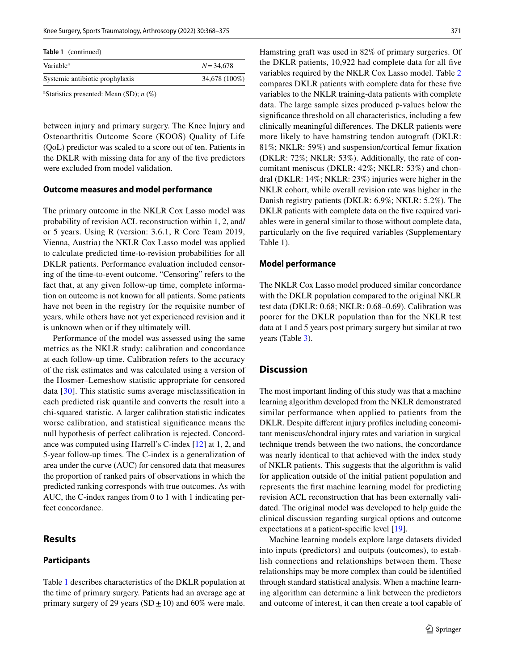| <b>Table 1</b> (continued)      |               |  |  |  |  |
|---------------------------------|---------------|--|--|--|--|
| Variable <sup>a</sup>           | $N = 34,678$  |  |  |  |  |
| Systemic antibiotic prophylaxis | 34,678 (100%) |  |  |  |  |

a Statistics presented: Mean (SD); *n* (%)

between injury and primary surgery. The Knee Injury and Osteoarthritis Outcome Score (KOOS) Quality of Life (QoL) predictor was scaled to a score out of ten. Patients in the DKLR with missing data for any of the fve predictors were excluded from model validation.

#### **Outcome measures and model performance**

The primary outcome in the NKLR Cox Lasso model was probability of revision ACL reconstruction within 1, 2, and/ or 5 years. Using R (version: 3.6.1, R Core Team 2019, Vienna, Austria) the NKLR Cox Lasso model was applied to calculate predicted time-to-revision probabilities for all DKLR patients. Performance evaluation included censoring of the time-to-event outcome. "Censoring" refers to the fact that, at any given follow-up time, complete information on outcome is not known for all patients. Some patients have not been in the registry for the requisite number of years, while others have not yet experienced revision and it is unknown when or if they ultimately will.

Performance of the model was assessed using the same metrics as the NKLR study: calibration and concordance at each follow-up time. Calibration refers to the accuracy of the risk estimates and was calculated using a version of the Hosmer–Lemeshow statistic appropriate for censored data [[30](#page-7-13)]. This statistic sums average misclassifcation in each predicted risk quantile and converts the result into a chi-squared statistic. A larger calibration statistic indicates worse calibration, and statistical signifcance means the null hypothesis of perfect calibration is rejected. Concordance was computed using Harrell's C-index [\[12](#page-6-8)] at 1, 2, and 5-year follow-up times. The C-index is a generalization of area under the curve (AUC) for censored data that measures the proportion of ranked pairs of observations in which the predicted ranking corresponds with true outcomes. As with AUC, the C-index ranges from 0 to 1 with 1 indicating perfect concordance.

#### **Results**

#### **Participants**

Table [1](#page-2-0) describes characteristics of the DKLR population at the time of primary surgery. Patients had an average age at primary surgery of 29 years  $(SD \pm 10)$  and 60% were male.

Hamstring graft was used in 82% of primary surgeries. Of the DKLR patients, 10,922 had complete data for all fve variables required by the NKLR Cox Lasso model. Table [2](#page-4-0) compares DKLR patients with complete data for these fve variables to the NKLR training-data patients with complete data. The large sample sizes produced p-values below the signifcance threshold on all characteristics, including a few clinically meaningful diferences. The DKLR patients were more likely to have hamstring tendon autograft (DKLR: 81%; NKLR: 59%) and suspension/cortical femur fxation (DKLR: 72%; NKLR: 53%). Additionally, the rate of concomitant meniscus (DKLR: 42%; NKLR: 53%) and chondral (DKLR: 14%; NKLR: 23%) injuries were higher in the NKLR cohort, while overall revision rate was higher in the Danish registry patients (DKLR: 6.9%; NKLR: 5.2%). The DKLR patients with complete data on the five required variables were in general similar to those without complete data, particularly on the fve required variables (Supplementary Table 1).

#### **Model performance**

The NKLR Cox Lasso model produced similar concordance with the DKLR population compared to the original NKLR test data (DKLR: 0.68; NKLR: 0.68–0.69). Calibration was poorer for the DKLR population than for the NKLR test data at 1 and 5 years post primary surgery but similar at two years (Table [3](#page-5-0)).

### **Discussion**

The most important fnding of this study was that a machine learning algorithm developed from the NKLR demonstrated similar performance when applied to patients from the DKLR. Despite diferent injury profles including concomitant meniscus/chondral injury rates and variation in surgical technique trends between the two nations, the concordance was nearly identical to that achieved with the index study of NKLR patients. This suggests that the algorithm is valid for application outside of the initial patient population and represents the frst machine learning model for predicting revision ACL reconstruction that has been externally validated. The original model was developed to help guide the clinical discussion regarding surgical options and outcome expectations at a patient-specifc level [\[19](#page-7-12)].

Machine learning models explore large datasets divided into inputs (predictors) and outputs (outcomes), to establish connections and relationships between them. These relationships may be more complex than could be identifed through standard statistical analysis. When a machine learning algorithm can determine a link between the predictors and outcome of interest, it can then create a tool capable of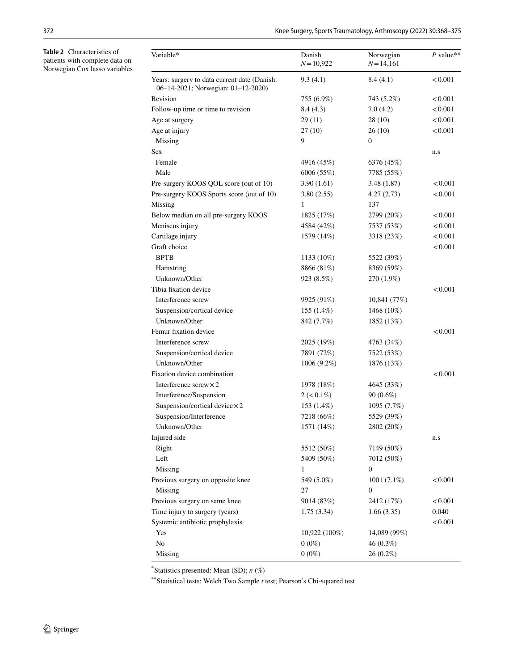<span id="page-4-0"></span>**Table 2** Characteristics of patients with complete data on Norwegian Cox lasso variables

| Years: surgery to data current date (Danish:<br>9.3(4.1)<br>< 0.001<br>8.4(4.1)<br>06-14-2021; Norwegian: 01-12-2020)<br>Revision<br>755 (6.9%)<br>< 0.001<br>743 (5.2%)<br>Follow-up time or time to revision<br>8.4(4.3)<br>7.0(4.2)<br>< 0.001<br>< 0.001<br>Age at surgery<br>29(11)<br>28(10)<br>Age at injury<br>27(10)<br>26(10)<br>< 0.001<br>9<br>Missing<br>$\mathbf{0}$<br>Sex<br>n.s<br>Female<br>4916 (45%)<br>6376 (45%)<br>Male<br>6006 (55%)<br>7785 (55%)<br>3.90(1.61)<br>Pre-surgery KOOS QOL score (out of 10)<br>3.48(1.87)<br>< 0.001<br>Pre-surgery KOOS Sports score (out of 10)<br>3.80(2.55)<br>4.27(2.73)<br>< 0.001<br>Missing<br>137<br>1<br>2799 (20%)<br>Below median on all pre-surgery KOOS<br>1825 (17%)<br>< 0.001<br>Meniscus injury<br>< 0.001<br>4584 (42%)<br>7537 (53%)<br>Cartilage injury<br>< 0.001<br>1579 (14%)<br>3318 (23%)<br>Graft choice<br>< 0.001<br><b>BPTB</b><br>1133 (10%)<br>5522 (39%)<br>8866 (81%)<br>8369 (59%)<br>Hamstring<br>Unknown/Other<br>923 (8.5%)<br>270 (1.9%)<br>Tibia fixation device<br>< 0.001<br>Interference screw<br>9925 (91%)<br>10,841 (77%)<br>Suspension/cortical device<br>155 (1.4%)<br>1468 (10%)<br>Unknown/Other<br>842 (7.7%)<br>1852 (13%)<br>Femur fixation device<br>< 0.001<br>Interference screw<br>2025 (19%)<br>4763 (34%)<br>Suspension/cortical device<br>7891 (72%)<br>7522 (53%)<br>Unknown/Other<br>1006 (9.2%)<br>1876 (13%)<br>Fixation device combination<br>< 0.001<br>Interference $s$ crew $\times$ 2<br>4645 (33%)<br>1978 (18%)<br>Interference/Suspension<br>$2 (< 0.1\%)$<br>90 (0.6%)<br>Suspension/cortical device × 2<br>153 (1.4%)<br>1095 (7.7%)<br>Suspension/Interference<br>5529 (39%)<br>7218 (66%)<br>Unknown/Other<br>1571 (14%)<br>2802 (20%)<br>Injured side<br>n.s<br>Right<br>5512 (50%)<br>7149 (50%)<br>Left<br>5409 (50%)<br>7012 (50%)<br>Missing<br>$\boldsymbol{0}$<br>1<br>Previous surgery on opposite knee<br>549 (5.0%)<br>1001 $(7.1\%)$<br>< 0.001<br>Missing<br>27<br>$\boldsymbol{0}$<br>Previous surgery on same knee<br>9014 (83%)<br>2412 (17%)<br>< 0.001<br>Time injury to surgery (years)<br>0.040<br>1.66(3.35)<br>1.75(3.34)<br>Systemic antibiotic prophylaxis<br>< 0.001<br>Yes<br>10,922 (100%)<br>14,089 (99%)<br>No<br>$0(0\%)$<br>46(0.3%)<br>$0(0\%)$<br>Missing<br>26 (0.2%) | Variable* | Danish<br>$N = 10,922$ | Norwegian<br>$N = 14,161$ | $P$ value** |
|-------------------------------------------------------------------------------------------------------------------------------------------------------------------------------------------------------------------------------------------------------------------------------------------------------------------------------------------------------------------------------------------------------------------------------------------------------------------------------------------------------------------------------------------------------------------------------------------------------------------------------------------------------------------------------------------------------------------------------------------------------------------------------------------------------------------------------------------------------------------------------------------------------------------------------------------------------------------------------------------------------------------------------------------------------------------------------------------------------------------------------------------------------------------------------------------------------------------------------------------------------------------------------------------------------------------------------------------------------------------------------------------------------------------------------------------------------------------------------------------------------------------------------------------------------------------------------------------------------------------------------------------------------------------------------------------------------------------------------------------------------------------------------------------------------------------------------------------------------------------------------------------------------------------------------------------------------------------------------------------------------------------------------------------------------------------------------------------------------------------------------------------------------------------------------------------------------------------------------------------------------------------------------------------------------------------------------------------|-----------|------------------------|---------------------------|-------------|
|                                                                                                                                                                                                                                                                                                                                                                                                                                                                                                                                                                                                                                                                                                                                                                                                                                                                                                                                                                                                                                                                                                                                                                                                                                                                                                                                                                                                                                                                                                                                                                                                                                                                                                                                                                                                                                                                                                                                                                                                                                                                                                                                                                                                                                                                                                                                           |           |                        |                           |             |
|                                                                                                                                                                                                                                                                                                                                                                                                                                                                                                                                                                                                                                                                                                                                                                                                                                                                                                                                                                                                                                                                                                                                                                                                                                                                                                                                                                                                                                                                                                                                                                                                                                                                                                                                                                                                                                                                                                                                                                                                                                                                                                                                                                                                                                                                                                                                           |           |                        |                           |             |
|                                                                                                                                                                                                                                                                                                                                                                                                                                                                                                                                                                                                                                                                                                                                                                                                                                                                                                                                                                                                                                                                                                                                                                                                                                                                                                                                                                                                                                                                                                                                                                                                                                                                                                                                                                                                                                                                                                                                                                                                                                                                                                                                                                                                                                                                                                                                           |           |                        |                           |             |
|                                                                                                                                                                                                                                                                                                                                                                                                                                                                                                                                                                                                                                                                                                                                                                                                                                                                                                                                                                                                                                                                                                                                                                                                                                                                                                                                                                                                                                                                                                                                                                                                                                                                                                                                                                                                                                                                                                                                                                                                                                                                                                                                                                                                                                                                                                                                           |           |                        |                           |             |
|                                                                                                                                                                                                                                                                                                                                                                                                                                                                                                                                                                                                                                                                                                                                                                                                                                                                                                                                                                                                                                                                                                                                                                                                                                                                                                                                                                                                                                                                                                                                                                                                                                                                                                                                                                                                                                                                                                                                                                                                                                                                                                                                                                                                                                                                                                                                           |           |                        |                           |             |
|                                                                                                                                                                                                                                                                                                                                                                                                                                                                                                                                                                                                                                                                                                                                                                                                                                                                                                                                                                                                                                                                                                                                                                                                                                                                                                                                                                                                                                                                                                                                                                                                                                                                                                                                                                                                                                                                                                                                                                                                                                                                                                                                                                                                                                                                                                                                           |           |                        |                           |             |
|                                                                                                                                                                                                                                                                                                                                                                                                                                                                                                                                                                                                                                                                                                                                                                                                                                                                                                                                                                                                                                                                                                                                                                                                                                                                                                                                                                                                                                                                                                                                                                                                                                                                                                                                                                                                                                                                                                                                                                                                                                                                                                                                                                                                                                                                                                                                           |           |                        |                           |             |
|                                                                                                                                                                                                                                                                                                                                                                                                                                                                                                                                                                                                                                                                                                                                                                                                                                                                                                                                                                                                                                                                                                                                                                                                                                                                                                                                                                                                                                                                                                                                                                                                                                                                                                                                                                                                                                                                                                                                                                                                                                                                                                                                                                                                                                                                                                                                           |           |                        |                           |             |
|                                                                                                                                                                                                                                                                                                                                                                                                                                                                                                                                                                                                                                                                                                                                                                                                                                                                                                                                                                                                                                                                                                                                                                                                                                                                                                                                                                                                                                                                                                                                                                                                                                                                                                                                                                                                                                                                                                                                                                                                                                                                                                                                                                                                                                                                                                                                           |           |                        |                           |             |
|                                                                                                                                                                                                                                                                                                                                                                                                                                                                                                                                                                                                                                                                                                                                                                                                                                                                                                                                                                                                                                                                                                                                                                                                                                                                                                                                                                                                                                                                                                                                                                                                                                                                                                                                                                                                                                                                                                                                                                                                                                                                                                                                                                                                                                                                                                                                           |           |                        |                           |             |
|                                                                                                                                                                                                                                                                                                                                                                                                                                                                                                                                                                                                                                                                                                                                                                                                                                                                                                                                                                                                                                                                                                                                                                                                                                                                                                                                                                                                                                                                                                                                                                                                                                                                                                                                                                                                                                                                                                                                                                                                                                                                                                                                                                                                                                                                                                                                           |           |                        |                           |             |
|                                                                                                                                                                                                                                                                                                                                                                                                                                                                                                                                                                                                                                                                                                                                                                                                                                                                                                                                                                                                                                                                                                                                                                                                                                                                                                                                                                                                                                                                                                                                                                                                                                                                                                                                                                                                                                                                                                                                                                                                                                                                                                                                                                                                                                                                                                                                           |           |                        |                           |             |
|                                                                                                                                                                                                                                                                                                                                                                                                                                                                                                                                                                                                                                                                                                                                                                                                                                                                                                                                                                                                                                                                                                                                                                                                                                                                                                                                                                                                                                                                                                                                                                                                                                                                                                                                                                                                                                                                                                                                                                                                                                                                                                                                                                                                                                                                                                                                           |           |                        |                           |             |
|                                                                                                                                                                                                                                                                                                                                                                                                                                                                                                                                                                                                                                                                                                                                                                                                                                                                                                                                                                                                                                                                                                                                                                                                                                                                                                                                                                                                                                                                                                                                                                                                                                                                                                                                                                                                                                                                                                                                                                                                                                                                                                                                                                                                                                                                                                                                           |           |                        |                           |             |
|                                                                                                                                                                                                                                                                                                                                                                                                                                                                                                                                                                                                                                                                                                                                                                                                                                                                                                                                                                                                                                                                                                                                                                                                                                                                                                                                                                                                                                                                                                                                                                                                                                                                                                                                                                                                                                                                                                                                                                                                                                                                                                                                                                                                                                                                                                                                           |           |                        |                           |             |
|                                                                                                                                                                                                                                                                                                                                                                                                                                                                                                                                                                                                                                                                                                                                                                                                                                                                                                                                                                                                                                                                                                                                                                                                                                                                                                                                                                                                                                                                                                                                                                                                                                                                                                                                                                                                                                                                                                                                                                                                                                                                                                                                                                                                                                                                                                                                           |           |                        |                           |             |
|                                                                                                                                                                                                                                                                                                                                                                                                                                                                                                                                                                                                                                                                                                                                                                                                                                                                                                                                                                                                                                                                                                                                                                                                                                                                                                                                                                                                                                                                                                                                                                                                                                                                                                                                                                                                                                                                                                                                                                                                                                                                                                                                                                                                                                                                                                                                           |           |                        |                           |             |
|                                                                                                                                                                                                                                                                                                                                                                                                                                                                                                                                                                                                                                                                                                                                                                                                                                                                                                                                                                                                                                                                                                                                                                                                                                                                                                                                                                                                                                                                                                                                                                                                                                                                                                                                                                                                                                                                                                                                                                                                                                                                                                                                                                                                                                                                                                                                           |           |                        |                           |             |
|                                                                                                                                                                                                                                                                                                                                                                                                                                                                                                                                                                                                                                                                                                                                                                                                                                                                                                                                                                                                                                                                                                                                                                                                                                                                                                                                                                                                                                                                                                                                                                                                                                                                                                                                                                                                                                                                                                                                                                                                                                                                                                                                                                                                                                                                                                                                           |           |                        |                           |             |
|                                                                                                                                                                                                                                                                                                                                                                                                                                                                                                                                                                                                                                                                                                                                                                                                                                                                                                                                                                                                                                                                                                                                                                                                                                                                                                                                                                                                                                                                                                                                                                                                                                                                                                                                                                                                                                                                                                                                                                                                                                                                                                                                                                                                                                                                                                                                           |           |                        |                           |             |
|                                                                                                                                                                                                                                                                                                                                                                                                                                                                                                                                                                                                                                                                                                                                                                                                                                                                                                                                                                                                                                                                                                                                                                                                                                                                                                                                                                                                                                                                                                                                                                                                                                                                                                                                                                                                                                                                                                                                                                                                                                                                                                                                                                                                                                                                                                                                           |           |                        |                           |             |
|                                                                                                                                                                                                                                                                                                                                                                                                                                                                                                                                                                                                                                                                                                                                                                                                                                                                                                                                                                                                                                                                                                                                                                                                                                                                                                                                                                                                                                                                                                                                                                                                                                                                                                                                                                                                                                                                                                                                                                                                                                                                                                                                                                                                                                                                                                                                           |           |                        |                           |             |
|                                                                                                                                                                                                                                                                                                                                                                                                                                                                                                                                                                                                                                                                                                                                                                                                                                                                                                                                                                                                                                                                                                                                                                                                                                                                                                                                                                                                                                                                                                                                                                                                                                                                                                                                                                                                                                                                                                                                                                                                                                                                                                                                                                                                                                                                                                                                           |           |                        |                           |             |
|                                                                                                                                                                                                                                                                                                                                                                                                                                                                                                                                                                                                                                                                                                                                                                                                                                                                                                                                                                                                                                                                                                                                                                                                                                                                                                                                                                                                                                                                                                                                                                                                                                                                                                                                                                                                                                                                                                                                                                                                                                                                                                                                                                                                                                                                                                                                           |           |                        |                           |             |
|                                                                                                                                                                                                                                                                                                                                                                                                                                                                                                                                                                                                                                                                                                                                                                                                                                                                                                                                                                                                                                                                                                                                                                                                                                                                                                                                                                                                                                                                                                                                                                                                                                                                                                                                                                                                                                                                                                                                                                                                                                                                                                                                                                                                                                                                                                                                           |           |                        |                           |             |
|                                                                                                                                                                                                                                                                                                                                                                                                                                                                                                                                                                                                                                                                                                                                                                                                                                                                                                                                                                                                                                                                                                                                                                                                                                                                                                                                                                                                                                                                                                                                                                                                                                                                                                                                                                                                                                                                                                                                                                                                                                                                                                                                                                                                                                                                                                                                           |           |                        |                           |             |
|                                                                                                                                                                                                                                                                                                                                                                                                                                                                                                                                                                                                                                                                                                                                                                                                                                                                                                                                                                                                                                                                                                                                                                                                                                                                                                                                                                                                                                                                                                                                                                                                                                                                                                                                                                                                                                                                                                                                                                                                                                                                                                                                                                                                                                                                                                                                           |           |                        |                           |             |
|                                                                                                                                                                                                                                                                                                                                                                                                                                                                                                                                                                                                                                                                                                                                                                                                                                                                                                                                                                                                                                                                                                                                                                                                                                                                                                                                                                                                                                                                                                                                                                                                                                                                                                                                                                                                                                                                                                                                                                                                                                                                                                                                                                                                                                                                                                                                           |           |                        |                           |             |
|                                                                                                                                                                                                                                                                                                                                                                                                                                                                                                                                                                                                                                                                                                                                                                                                                                                                                                                                                                                                                                                                                                                                                                                                                                                                                                                                                                                                                                                                                                                                                                                                                                                                                                                                                                                                                                                                                                                                                                                                                                                                                                                                                                                                                                                                                                                                           |           |                        |                           |             |
|                                                                                                                                                                                                                                                                                                                                                                                                                                                                                                                                                                                                                                                                                                                                                                                                                                                                                                                                                                                                                                                                                                                                                                                                                                                                                                                                                                                                                                                                                                                                                                                                                                                                                                                                                                                                                                                                                                                                                                                                                                                                                                                                                                                                                                                                                                                                           |           |                        |                           |             |
|                                                                                                                                                                                                                                                                                                                                                                                                                                                                                                                                                                                                                                                                                                                                                                                                                                                                                                                                                                                                                                                                                                                                                                                                                                                                                                                                                                                                                                                                                                                                                                                                                                                                                                                                                                                                                                                                                                                                                                                                                                                                                                                                                                                                                                                                                                                                           |           |                        |                           |             |
|                                                                                                                                                                                                                                                                                                                                                                                                                                                                                                                                                                                                                                                                                                                                                                                                                                                                                                                                                                                                                                                                                                                                                                                                                                                                                                                                                                                                                                                                                                                                                                                                                                                                                                                                                                                                                                                                                                                                                                                                                                                                                                                                                                                                                                                                                                                                           |           |                        |                           |             |
|                                                                                                                                                                                                                                                                                                                                                                                                                                                                                                                                                                                                                                                                                                                                                                                                                                                                                                                                                                                                                                                                                                                                                                                                                                                                                                                                                                                                                                                                                                                                                                                                                                                                                                                                                                                                                                                                                                                                                                                                                                                                                                                                                                                                                                                                                                                                           |           |                        |                           |             |
|                                                                                                                                                                                                                                                                                                                                                                                                                                                                                                                                                                                                                                                                                                                                                                                                                                                                                                                                                                                                                                                                                                                                                                                                                                                                                                                                                                                                                                                                                                                                                                                                                                                                                                                                                                                                                                                                                                                                                                                                                                                                                                                                                                                                                                                                                                                                           |           |                        |                           |             |
|                                                                                                                                                                                                                                                                                                                                                                                                                                                                                                                                                                                                                                                                                                                                                                                                                                                                                                                                                                                                                                                                                                                                                                                                                                                                                                                                                                                                                                                                                                                                                                                                                                                                                                                                                                                                                                                                                                                                                                                                                                                                                                                                                                                                                                                                                                                                           |           |                        |                           |             |
|                                                                                                                                                                                                                                                                                                                                                                                                                                                                                                                                                                                                                                                                                                                                                                                                                                                                                                                                                                                                                                                                                                                                                                                                                                                                                                                                                                                                                                                                                                                                                                                                                                                                                                                                                                                                                                                                                                                                                                                                                                                                                                                                                                                                                                                                                                                                           |           |                        |                           |             |
|                                                                                                                                                                                                                                                                                                                                                                                                                                                                                                                                                                                                                                                                                                                                                                                                                                                                                                                                                                                                                                                                                                                                                                                                                                                                                                                                                                                                                                                                                                                                                                                                                                                                                                                                                                                                                                                                                                                                                                                                                                                                                                                                                                                                                                                                                                                                           |           |                        |                           |             |
|                                                                                                                                                                                                                                                                                                                                                                                                                                                                                                                                                                                                                                                                                                                                                                                                                                                                                                                                                                                                                                                                                                                                                                                                                                                                                                                                                                                                                                                                                                                                                                                                                                                                                                                                                                                                                                                                                                                                                                                                                                                                                                                                                                                                                                                                                                                                           |           |                        |                           |             |
|                                                                                                                                                                                                                                                                                                                                                                                                                                                                                                                                                                                                                                                                                                                                                                                                                                                                                                                                                                                                                                                                                                                                                                                                                                                                                                                                                                                                                                                                                                                                                                                                                                                                                                                                                                                                                                                                                                                                                                                                                                                                                                                                                                                                                                                                                                                                           |           |                        |                           |             |
|                                                                                                                                                                                                                                                                                                                                                                                                                                                                                                                                                                                                                                                                                                                                                                                                                                                                                                                                                                                                                                                                                                                                                                                                                                                                                                                                                                                                                                                                                                                                                                                                                                                                                                                                                                                                                                                                                                                                                                                                                                                                                                                                                                                                                                                                                                                                           |           |                        |                           |             |
|                                                                                                                                                                                                                                                                                                                                                                                                                                                                                                                                                                                                                                                                                                                                                                                                                                                                                                                                                                                                                                                                                                                                                                                                                                                                                                                                                                                                                                                                                                                                                                                                                                                                                                                                                                                                                                                                                                                                                                                                                                                                                                                                                                                                                                                                                                                                           |           |                        |                           |             |
|                                                                                                                                                                                                                                                                                                                                                                                                                                                                                                                                                                                                                                                                                                                                                                                                                                                                                                                                                                                                                                                                                                                                                                                                                                                                                                                                                                                                                                                                                                                                                                                                                                                                                                                                                                                                                                                                                                                                                                                                                                                                                                                                                                                                                                                                                                                                           |           |                        |                           |             |
|                                                                                                                                                                                                                                                                                                                                                                                                                                                                                                                                                                                                                                                                                                                                                                                                                                                                                                                                                                                                                                                                                                                                                                                                                                                                                                                                                                                                                                                                                                                                                                                                                                                                                                                                                                                                                                                                                                                                                                                                                                                                                                                                                                                                                                                                                                                                           |           |                        |                           |             |
|                                                                                                                                                                                                                                                                                                                                                                                                                                                                                                                                                                                                                                                                                                                                                                                                                                                                                                                                                                                                                                                                                                                                                                                                                                                                                                                                                                                                                                                                                                                                                                                                                                                                                                                                                                                                                                                                                                                                                                                                                                                                                                                                                                                                                                                                                                                                           |           |                        |                           |             |
|                                                                                                                                                                                                                                                                                                                                                                                                                                                                                                                                                                                                                                                                                                                                                                                                                                                                                                                                                                                                                                                                                                                                                                                                                                                                                                                                                                                                                                                                                                                                                                                                                                                                                                                                                                                                                                                                                                                                                                                                                                                                                                                                                                                                                                                                                                                                           |           |                        |                           |             |

\* Statistics presented: Mean (SD); *n* (%)

\*\*Statistical tests: Welch Two Sample *t* test; Pearson's Chi-squared test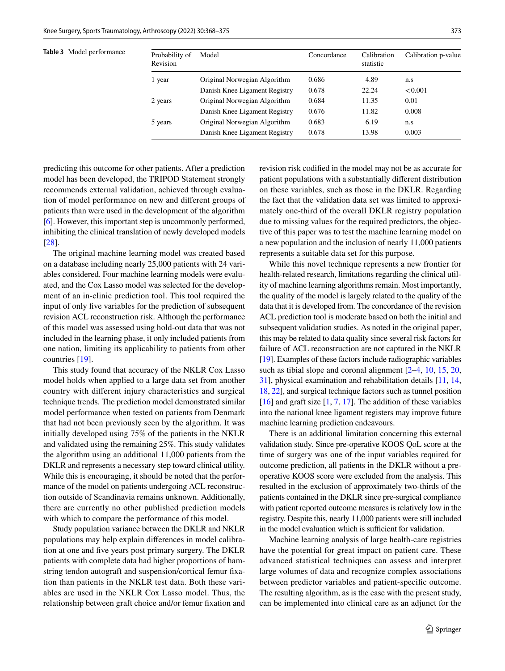<span id="page-5-0"></span>**Table 3** Model performance

| Probability of<br>Revision | Model                         | Concordance | Calibration<br>statistic | Calibration p-value |
|----------------------------|-------------------------------|-------------|--------------------------|---------------------|
| 1 year                     | Original Norwegian Algorithm  | 0.686       | 4.89                     | n.s                 |
|                            | Danish Knee Ligament Registry | 0.678       | 22.24                    | < 0.001             |
| 2 years                    | Original Norwegian Algorithm  | 0.684       | 11.35                    | 0.01                |
|                            | Danish Knee Ligament Registry | 0.676       | 11.82                    | 0.008               |
| 5 years                    | Original Norwegian Algorithm  | 0.683       | 6.19                     | n.s                 |
|                            | Danish Knee Ligament Registry | 0.678       | 13.98                    | 0.003               |

predicting this outcome for other patients. After a prediction model has been developed, the TRIPOD Statement strongly recommends external validation, achieved through evaluation of model performance on new and diferent groups of patients than were used in the development of the algorithm [\[6](#page-6-6)]. However, this important step is uncommonly performed, inhibiting the clinical translation of newly developed models [\[28\]](#page-7-14).

The original machine learning model was created based on a database including nearly 25,000 patients with 24 variables considered. Four machine learning models were evaluated, and the Cox Lasso model was selected for the development of an in-clinic prediction tool. This tool required the input of only fve variables for the prediction of subsequent revision ACL reconstruction risk. Although the performance of this model was assessed using hold-out data that was not included in the learning phase, it only included patients from one nation, limiting its applicability to patients from other countries [\[19](#page-7-12)].

This study found that accuracy of the NKLR Cox Lasso model holds when applied to a large data set from another country with diferent injury characteristics and surgical technique trends. The prediction model demonstrated similar model performance when tested on patients from Denmark that had not been previously seen by the algorithm. It was initially developed using 75% of the patients in the NKLR and validated using the remaining 25%. This study validates the algorithm using an additional 11,000 patients from the DKLR and represents a necessary step toward clinical utility. While this is encouraging, it should be noted that the performance of the model on patients undergoing ACL reconstruction outside of Scandinavia remains unknown. Additionally, there are currently no other published prediction models with which to compare the performance of this model.

Study population variance between the DKLR and NKLR populations may help explain diferences in model calibration at one and fve years post primary surgery. The DKLR patients with complete data had higher proportions of hamstring tendon autograft and suspension/cortical femur fxation than patients in the NKLR test data. Both these variables are used in the NKLR Cox Lasso model. Thus, the relationship between graft choice and/or femur fxation and revision risk codifed in the model may not be as accurate for patient populations with a substantially diferent distribution on these variables, such as those in the DKLR. Regarding the fact that the validation data set was limited to approximately one-third of the overall DKLR registry population due to missing values for the required predictors, the objective of this paper was to test the machine learning model on a new population and the inclusion of nearly 11,000 patients represents a suitable data set for this purpose.

While this novel technique represents a new frontier for health-related research, limitations regarding the clinical utility of machine learning algorithms remain. Most importantly, the quality of the model is largely related to the quality of the data that it is developed from. The concordance of the revision ACL prediction tool is moderate based on both the initial and subsequent validation studies. As noted in the original paper, this may be related to data quality since several risk factors for failure of ACL reconstruction are not captured in the NKLR [\[19](#page-7-12)]. Examples of these factors include radiographic variables such as tibial slope and coronal alignment  $[2-4, 10, 15, 20,$  $[2-4, 10, 15, 20,$  $[2-4, 10, 15, 20,$  $[2-4, 10, 15, 20,$  $[2-4, 10, 15, 20,$  $[2-4, 10, 15, 20,$  $[2-4, 10, 15, 20,$ [31](#page-7-6)], physical examination and rehabilitation details [[11,](#page-6-12) [14,](#page-6-2) [18,](#page-7-0) [22](#page-7-16)], and surgical technique factors such as tunnel position  $[16]$  $[16]$  and graft size  $[1, 7, 17]$  $[1, 7, 17]$  $[1, 7, 17]$  $[1, 7, 17]$  $[1, 7, 17]$ . The addition of these variables into the national knee ligament registers may improve future machine learning prediction endeavours.

There is an additional limitation concerning this external validation study. Since pre-operative KOOS QoL score at the time of surgery was one of the input variables required for outcome prediction, all patients in the DKLR without a preoperative KOOS score were excluded from the analysis. This resulted in the exclusion of approximately two-thirds of the patients contained in the DKLR since pre-surgical compliance with patient reported outcome measures is relatively low in the registry. Despite this, nearly 11,000 patients were still included in the model evaluation which is sufficient for validation.

Machine learning analysis of large health-care registries have the potential for great impact on patient care. These advanced statistical techniques can assess and interpret large volumes of data and recognize complex associations between predictor variables and patient-specifc outcome. The resulting algorithm, as is the case with the present study, can be implemented into clinical care as an adjunct for the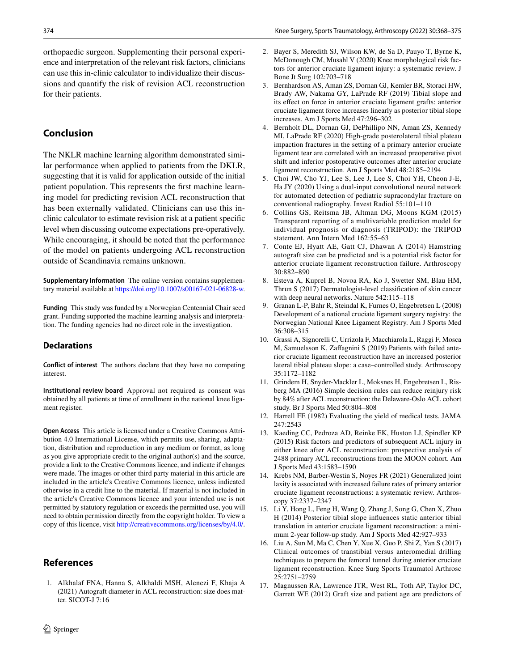orthopaedic surgeon. Supplementing their personal experience and interpretation of the relevant risk factors, clinicians can use this in-clinic calculator to individualize their discussions and quantify the risk of revision ACL reconstruction for their patients.

## **Conclusion**

The NKLR machine learning algorithm demonstrated similar performance when applied to patients from the DKLR, suggesting that it is valid for application outside of the initial patient population. This represents the frst machine learning model for predicting revision ACL reconstruction that has been externally validated. Clinicians can use this inclinic calculator to estimate revision risk at a patient specifc level when discussing outcome expectations pre-operatively. While encouraging, it should be noted that the performance of the model on patients undergoing ACL reconstruction outside of Scandinavia remains unknown.

**Supplementary Information** The online version contains supplementary material available at<https://doi.org/10.1007/s00167-021-06828-w>.

**Funding** This study was funded by a Norwegian Centennial Chair seed grant. Funding supported the machine learning analysis and interpretation. The funding agencies had no direct role in the investigation.

## **Declarations**

**Conflict of interest** The authors declare that they have no competing interest.

**Institutional review board** Approval not required as consent was obtained by all patients at time of enrollment in the national knee ligament register.

**Open Access** This article is licensed under a Creative Commons Attribution 4.0 International License, which permits use, sharing, adaptation, distribution and reproduction in any medium or format, as long as you give appropriate credit to the original author(s) and the source, provide a link to the Creative Commons licence, and indicate if changes were made. The images or other third party material in this article are included in the article's Creative Commons licence, unless indicated otherwise in a credit line to the material. If material is not included in the article's Creative Commons licence and your intended use is not permitted by statutory regulation or exceeds the permitted use, you will need to obtain permission directly from the copyright holder. To view a copy of this licence, visit <http://creativecommons.org/licenses/by/4.0/>.

## **References**

<span id="page-6-1"></span>1. Alkhalaf FNA, Hanna S, Alkhaldi MSH, Alenezi F, Khaja A (2021) Autograft diameter in ACL reconstruction: size does matter. SICOT-J 7:16

- <span id="page-6-9"></span>2. Bayer S, Meredith SJ, Wilson KW, de Sa D, Pauyo T, Byrne K, McDonough CM, Musahl V (2020) Knee morphological risk factors for anterior cruciate ligament injury: a systematic review. J Bone Jt Surg 102:703–718
- 3. Bernhardson AS, Aman ZS, Dornan GJ, Kemler BR, Storaci HW, Brady AW, Nakama GY, LaPrade RF (2019) Tibial slope and its efect on force in anterior cruciate ligament grafts: anterior cruciate ligament force increases linearly as posterior tibial slope increases. Am J Sports Med 47:296–302
- <span id="page-6-10"></span>4. Bernholt DL, Dornan GJ, DePhillipo NN, Aman ZS, Kennedy MI, LaPrade RF (2020) High-grade posterolateral tibial plateau impaction fractures in the setting of a primary anterior cruciate ligament tear are correlated with an increased preoperative pivot shift and inferior postoperative outcomes after anterior cruciate ligament reconstruction. Am J Sports Med 48:2185–2194
- <span id="page-6-4"></span>5. Choi JW, Cho YJ, Lee S, Lee J, Lee S, Choi YH, Cheon J-E, Ha JY (2020) Using a dual-input convolutional neural network for automated detection of pediatric supracondylar fracture on conventional radiography. Invest Radiol 55:101–110
- <span id="page-6-6"></span>6. Collins GS, Reitsma JB, Altman DG, Moons KGM (2015) Transparent reporting of a multivariable prediction model for individual prognosis or diagnosis (TRIPOD): the TRIPOD statement. Ann Intern Med 162:55–63
- <span id="page-6-14"></span>7. Conte EJ, Hyatt AE, Gatt CJ, Dhawan A (2014) Hamstring autograft size can be predicted and is a potential risk factor for anterior cruciate ligament reconstruction failure. Arthroscopy 30:882–890
- <span id="page-6-5"></span>8. Esteva A, Kuprel B, Novoa RA, Ko J, Swetter SM, Blau HM, Thrun S (2017) Dermatologist-level classifcation of skin cancer with deep neural networks. Nature 542:115–118
- <span id="page-6-7"></span>9. Granan L-P, Bahr R, Steindal K, Furnes O, Engebretsen L (2008) Development of a national cruciate ligament surgery registry: the Norwegian National Knee Ligament Registry. Am J Sports Med 36:308–315
- <span id="page-6-3"></span>10. Grassi A, Signorelli C, Urrizola F, Macchiarola L, Raggi F, Mosca M, Samuelsson K, Zafagnini S (2019) Patients with failed anterior cruciate ligament reconstruction have an increased posterior lateral tibial plateau slope: a case–controlled study. Arthroscopy 35:1172–1182
- <span id="page-6-12"></span>11. Grindem H, Snyder-Mackler L, Moksnes H, Engebretsen L, Risberg MA (2016) Simple decision rules can reduce reinjury risk by 84% after ACL reconstruction: the Delaware-Oslo ACL cohort study. Br J Sports Med 50:804–808
- <span id="page-6-8"></span>12. Harrell FE (1982) Evaluating the yield of medical tests. JAMA 247:2543
- <span id="page-6-0"></span>13. Kaeding CC, Pedroza AD, Reinke EK, Huston LJ, Spindler KP (2015) Risk factors and predictors of subsequent ACL injury in either knee after ACL reconstruction: prospective analysis of 2488 primary ACL reconstructions from the MOON cohort. Am J Sports Med 43:1583–1590
- <span id="page-6-2"></span>14. Krebs NM, Barber-Westin S, Noyes FR (2021) Generalized joint laxity is associated with increased failure rates of primary anterior cruciate ligament reconstructions: a systematic review. Arthroscopy 37:2337–2347
- <span id="page-6-11"></span>15. Li Y, Hong L, Feng H, Wang Q, Zhang J, Song G, Chen X, Zhuo H (2014) Posterior tibial slope infuences static anterior tibial translation in anterior cruciate ligament reconstruction: a minimum 2-year follow-up study. Am J Sports Med 42:927–933
- <span id="page-6-13"></span>16. Liu A, Sun M, Ma C, Chen Y, Xue X, Guo P, Shi Z, Yan S (2017) Clinical outcomes of transtibial versus anteromedial drilling techniques to prepare the femoral tunnel during anterior cruciate ligament reconstruction. Knee Surg Sports Traumatol Arthrosc 25:2751–2759
- <span id="page-6-15"></span>17. Magnussen RA, Lawrence JTR, West RL, Toth AP, Taylor DC, Garrett WE (2012) Graft size and patient age are predictors of